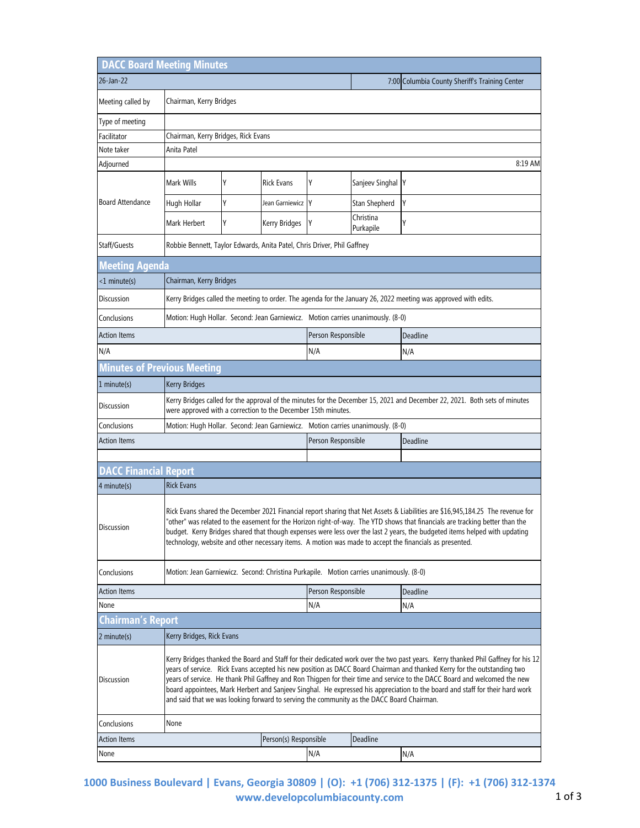| <b>DACC Board Meeting Minutes</b>            |                                                                                                                                                                                                                                                                                                                                                                                                                                                                                                                                                                                                                        |   |                    |                    |                        |                 |  |  |  |
|----------------------------------------------|------------------------------------------------------------------------------------------------------------------------------------------------------------------------------------------------------------------------------------------------------------------------------------------------------------------------------------------------------------------------------------------------------------------------------------------------------------------------------------------------------------------------------------------------------------------------------------------------------------------------|---|--------------------|--------------------|------------------------|-----------------|--|--|--|
| 26-Jan-22                                    | 7:00 Columbia County Sheriff's Training Center                                                                                                                                                                                                                                                                                                                                                                                                                                                                                                                                                                         |   |                    |                    |                        |                 |  |  |  |
| Meeting called by                            | Chairman, Kerry Bridges                                                                                                                                                                                                                                                                                                                                                                                                                                                                                                                                                                                                |   |                    |                    |                        |                 |  |  |  |
| Type of meeting                              |                                                                                                                                                                                                                                                                                                                                                                                                                                                                                                                                                                                                                        |   |                    |                    |                        |                 |  |  |  |
| Facilitator                                  | Chairman, Kerry Bridges, Rick Evans                                                                                                                                                                                                                                                                                                                                                                                                                                                                                                                                                                                    |   |                    |                    |                        |                 |  |  |  |
| Note taker                                   | Anita Patel                                                                                                                                                                                                                                                                                                                                                                                                                                                                                                                                                                                                            |   |                    |                    |                        |                 |  |  |  |
| Adjourned                                    | 8:19 AM                                                                                                                                                                                                                                                                                                                                                                                                                                                                                                                                                                                                                |   |                    |                    |                        |                 |  |  |  |
| <b>Board Attendance</b>                      | Mark Wills                                                                                                                                                                                                                                                                                                                                                                                                                                                                                                                                                                                                             | Y | <b>Rick Evans</b>  | Υ                  | Sanjeev Singhal Y      |                 |  |  |  |
|                                              | Hugh Hollar                                                                                                                                                                                                                                                                                                                                                                                                                                                                                                                                                                                                            | Υ | Jean Garniewicz Y  |                    | Stan Shepherd          | Y               |  |  |  |
|                                              | Mark Herbert                                                                                                                                                                                                                                                                                                                                                                                                                                                                                                                                                                                                           | Y | Kerry Bridges      | Υ                  | Christina<br>Purkapile | Y               |  |  |  |
| Staff/Guests                                 | Robbie Bennett, Taylor Edwards, Anita Patel, Chris Driver, Phil Gaffney                                                                                                                                                                                                                                                                                                                                                                                                                                                                                                                                                |   |                    |                    |                        |                 |  |  |  |
| <b>Meeting Agenda</b>                        |                                                                                                                                                                                                                                                                                                                                                                                                                                                                                                                                                                                                                        |   |                    |                    |                        |                 |  |  |  |
| <1 minute(s)                                 | Chairman, Kerry Bridges                                                                                                                                                                                                                                                                                                                                                                                                                                                                                                                                                                                                |   |                    |                    |                        |                 |  |  |  |
| Discussion                                   | Kerry Bridges called the meeting to order. The agenda for the January 26, 2022 meeting was approved with edits.                                                                                                                                                                                                                                                                                                                                                                                                                                                                                                        |   |                    |                    |                        |                 |  |  |  |
| Conclusions                                  | Motion: Hugh Hollar. Second: Jean Garniewicz. Motion carries unanimously. (8-0)                                                                                                                                                                                                                                                                                                                                                                                                                                                                                                                                        |   |                    |                    |                        |                 |  |  |  |
| <b>Action Items</b>                          |                                                                                                                                                                                                                                                                                                                                                                                                                                                                                                                                                                                                                        |   |                    | Person Responsible |                        | <b>Deadline</b> |  |  |  |
| N/A                                          |                                                                                                                                                                                                                                                                                                                                                                                                                                                                                                                                                                                                                        |   |                    | N/A                |                        | N/A             |  |  |  |
| <b>Minutes of Previous Meeting</b>           |                                                                                                                                                                                                                                                                                                                                                                                                                                                                                                                                                                                                                        |   |                    |                    |                        |                 |  |  |  |
| 1 minute(s)                                  | <b>Kerry Bridges</b>                                                                                                                                                                                                                                                                                                                                                                                                                                                                                                                                                                                                   |   |                    |                    |                        |                 |  |  |  |
| Discussion                                   | Kerry Bridges called for the approval of the minutes for the December 15, 2021 and December 22, 2021. Both sets of minutes<br>were approved with a correction to the December 15th minutes.                                                                                                                                                                                                                                                                                                                                                                                                                            |   |                    |                    |                        |                 |  |  |  |
| Conclusions                                  | Motion: Hugh Hollar. Second: Jean Garniewicz. Motion carries unanimously. (8-0)                                                                                                                                                                                                                                                                                                                                                                                                                                                                                                                                        |   |                    |                    |                        |                 |  |  |  |
| <b>Action Items</b>                          |                                                                                                                                                                                                                                                                                                                                                                                                                                                                                                                                                                                                                        |   |                    | Person Responsible |                        | Deadline        |  |  |  |
|                                              |                                                                                                                                                                                                                                                                                                                                                                                                                                                                                                                                                                                                                        |   |                    |                    |                        |                 |  |  |  |
| <b>DACC Financial Report</b>                 |                                                                                                                                                                                                                                                                                                                                                                                                                                                                                                                                                                                                                        |   |                    |                    |                        |                 |  |  |  |
| 4 minute(s)                                  | <b>Rick Evans</b>                                                                                                                                                                                                                                                                                                                                                                                                                                                                                                                                                                                                      |   |                    |                    |                        |                 |  |  |  |
| Discussion                                   | Rick Evans shared the December 2021 Financial report sharing that Net Assets & Liabilities are \$16,945,184.25 The revenue for<br>"other" was related to the easement for the Horizon right-of-way. The YTD shows that financials are tracking better than the<br>budget. Kerry Bridges shared that though expenses were less over the last 2 years, the budgeted items helped with updating<br>technology, website and other necessary items. A motion was made to accept the financials as presented.                                                                                                                |   |                    |                    |                        |                 |  |  |  |
| Conclusions                                  | Motion: Jean Garniewicz. Second: Christina Purkapile. Motion carries unanimously. (8-0)                                                                                                                                                                                                                                                                                                                                                                                                                                                                                                                                |   |                    |                    |                        |                 |  |  |  |
| <b>Action Items</b>                          |                                                                                                                                                                                                                                                                                                                                                                                                                                                                                                                                                                                                                        |   | Person Responsible |                    | Deadline               |                 |  |  |  |
| None                                         |                                                                                                                                                                                                                                                                                                                                                                                                                                                                                                                                                                                                                        |   | N/A                |                    | N/A                    |                 |  |  |  |
| <b>Chairman's Report</b>                     |                                                                                                                                                                                                                                                                                                                                                                                                                                                                                                                                                                                                                        |   |                    |                    |                        |                 |  |  |  |
| 2 minute(s)                                  | Kerry Bridges, Rick Evans                                                                                                                                                                                                                                                                                                                                                                                                                                                                                                                                                                                              |   |                    |                    |                        |                 |  |  |  |
| Discussion                                   | Kerry Bridges thanked the Board and Staff for their dedicated work over the two past years. Kerry thanked Phil Gaffney for his 12<br>years of service. Rick Evans accepted his new position as DACC Board Chairman and thanked Kerry for the outstanding two<br>years of service. He thank Phil Gaffney and Ron Thigpen for their time and service to the DACC Board and welcomed the new<br>board appointees, Mark Herbert and Sanjeev Singhal. He expressed his appreciation to the board and staff for their hard work<br>and said that we was looking forward to serving the community as the DACC Board Chairman. |   |                    |                    |                        |                 |  |  |  |
| Conclusions                                  | None                                                                                                                                                                                                                                                                                                                                                                                                                                                                                                                                                                                                                   |   |                    |                    |                        |                 |  |  |  |
| Person(s) Responsible<br><b>Action Items</b> |                                                                                                                                                                                                                                                                                                                                                                                                                                                                                                                                                                                                                        |   |                    |                    | Deadline               |                 |  |  |  |
| None                                         |                                                                                                                                                                                                                                                                                                                                                                                                                                                                                                                                                                                                                        |   |                    | N/A                |                        | N/A             |  |  |  |

**1000 Business Boulevard | Evans, Georgia 30809 | (O): +1 (706) 312-1375 | (F): +1 (706) 312-1374** www.developcolumbiacounty.com **1 of 3**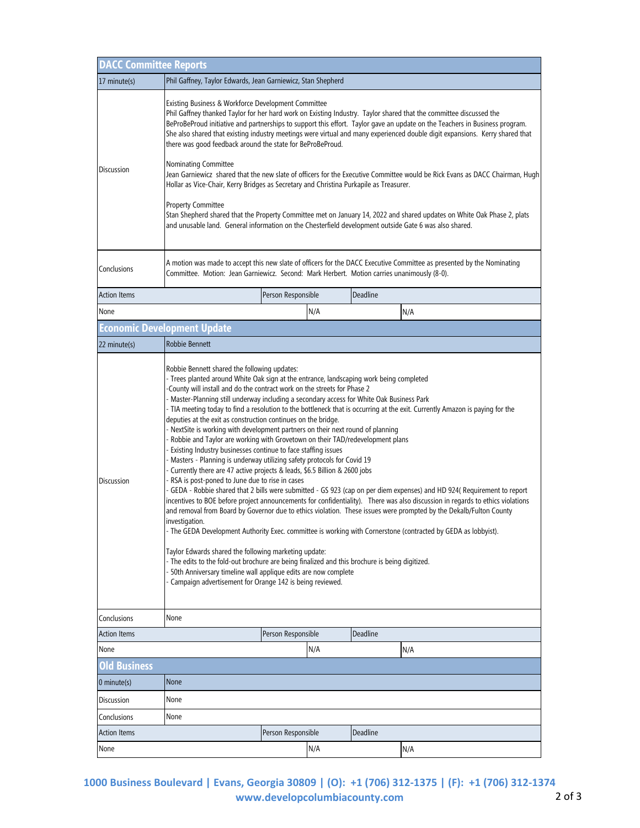| <b>DACC Committee Reports</b>      |                                                                                                                                                                                                                                                                                                                                                                                                                                                                                                                                                                                                                                                                                                                                                                                                                                                                                                                                                                                                                                                                                                                                                                                                                                                                                                                                                                                                                                                                                                                                                                                                                                                                                                                                                                                 |                    |     |          |     |  |  |  |  |
|------------------------------------|---------------------------------------------------------------------------------------------------------------------------------------------------------------------------------------------------------------------------------------------------------------------------------------------------------------------------------------------------------------------------------------------------------------------------------------------------------------------------------------------------------------------------------------------------------------------------------------------------------------------------------------------------------------------------------------------------------------------------------------------------------------------------------------------------------------------------------------------------------------------------------------------------------------------------------------------------------------------------------------------------------------------------------------------------------------------------------------------------------------------------------------------------------------------------------------------------------------------------------------------------------------------------------------------------------------------------------------------------------------------------------------------------------------------------------------------------------------------------------------------------------------------------------------------------------------------------------------------------------------------------------------------------------------------------------------------------------------------------------------------------------------------------------|--------------------|-----|----------|-----|--|--|--|--|
| 17 minute(s)                       | Phil Gaffney, Taylor Edwards, Jean Garniewicz, Stan Shepherd                                                                                                                                                                                                                                                                                                                                                                                                                                                                                                                                                                                                                                                                                                                                                                                                                                                                                                                                                                                                                                                                                                                                                                                                                                                                                                                                                                                                                                                                                                                                                                                                                                                                                                                    |                    |     |          |     |  |  |  |  |
| Discussion                         | Existing Business & Workforce Development Committee<br>Phil Gaffney thanked Taylor for her hard work on Existing Industry. Taylor shared that the committee discussed the<br>BeProBeProud initiative and partnerships to support this effort. Taylor gave an update on the Teachers in Business program.<br>She also shared that existing industry meetings were virtual and many experienced double digit expansions. Kerry shared that<br>there was good feedback around the state for BeProBeProud.<br>Nominating Committee<br>Jean Garniewicz shared that the new slate of officers for the Executive Committee would be Rick Evans as DACC Chairman, Hugh<br>Hollar as Vice-Chair, Kerry Bridges as Secretary and Christina Purkapile as Treasurer.<br><b>Property Committee</b><br>Stan Shepherd shared that the Property Committee met on January 14, 2022 and shared updates on White Oak Phase 2, plats                                                                                                                                                                                                                                                                                                                                                                                                                                                                                                                                                                                                                                                                                                                                                                                                                                                                |                    |     |          |     |  |  |  |  |
| Conclusions                        | and unusable land. General information on the Chesterfield development outside Gate 6 was also shared.<br>A motion was made to accept this new slate of officers for the DACC Executive Committee as presented by the Nominating<br>Committee. Motion: Jean Garniewicz. Second: Mark Herbert. Motion carries unanimously (8-0).                                                                                                                                                                                                                                                                                                                                                                                                                                                                                                                                                                                                                                                                                                                                                                                                                                                                                                                                                                                                                                                                                                                                                                                                                                                                                                                                                                                                                                                 |                    |     |          |     |  |  |  |  |
| <b>Action Items</b>                |                                                                                                                                                                                                                                                                                                                                                                                                                                                                                                                                                                                                                                                                                                                                                                                                                                                                                                                                                                                                                                                                                                                                                                                                                                                                                                                                                                                                                                                                                                                                                                                                                                                                                                                                                                                 | Person Responsible |     | Deadline |     |  |  |  |  |
| None                               |                                                                                                                                                                                                                                                                                                                                                                                                                                                                                                                                                                                                                                                                                                                                                                                                                                                                                                                                                                                                                                                                                                                                                                                                                                                                                                                                                                                                                                                                                                                                                                                                                                                                                                                                                                                 |                    | N/A |          | N/A |  |  |  |  |
|                                    | <b>Economic Development Update</b>                                                                                                                                                                                                                                                                                                                                                                                                                                                                                                                                                                                                                                                                                                                                                                                                                                                                                                                                                                                                                                                                                                                                                                                                                                                                                                                                                                                                                                                                                                                                                                                                                                                                                                                                              |                    |     |          |     |  |  |  |  |
| 22 minute(s)                       | Robbie Bennett                                                                                                                                                                                                                                                                                                                                                                                                                                                                                                                                                                                                                                                                                                                                                                                                                                                                                                                                                                                                                                                                                                                                                                                                                                                                                                                                                                                                                                                                                                                                                                                                                                                                                                                                                                  |                    |     |          |     |  |  |  |  |
| <b>Discussion</b>                  | Robbie Bennett shared the following updates:<br>- Trees planted around White Oak sign at the entrance, landscaping work being completed<br>County will install and do the contract work on the streets for Phase 2<br>- Master-Planning still underway including a secondary access for White Oak Business Park<br>- TIA meeting today to find a resolution to the bottleneck that is occurring at the exit. Currently Amazon is paying for the<br>deputies at the exit as construction continues on the bridge.<br>NextSite is working with development partners on their next round of planning<br>Robbie and Taylor are working with Grovetown on their TAD/redevelopment plans<br>Existing Industry businesses continue to face staffing issues<br>Masters - Planning is underway utilizing safety protocols for Covid 19<br>Currently there are 47 active projects & leads, \$6.5 Billion & 2600 jobs<br>RSA is post-poned to June due to rise in cases<br>- GEDA - Robbie shared that 2 bills were submitted - GS 923 (cap on per diem expenses) and HD 924( Requirement to report<br>incentives to BOE before project announcements for confidentiality). There was also discussion in regards to ethics violations<br>and removal from Board by Governor due to ethics violation. These issues were prompted by the Dekalb/Fulton County<br>investigation.<br>The GEDA Development Authority Exec. committee is working with Cornerstone (contracted by GEDA as lobbyist).<br>Taylor Edwards shared the following marketing update:<br>- The edits to the fold-out brochure are being finalized and this brochure is being digitized.<br>- 50th Anniversary timeline wall applique edits are now complete<br>- Campaign advertisement for Orange 142 is being reviewed. |                    |     |          |     |  |  |  |  |
| Conclusions                        | None                                                                                                                                                                                                                                                                                                                                                                                                                                                                                                                                                                                                                                                                                                                                                                                                                                                                                                                                                                                                                                                                                                                                                                                                                                                                                                                                                                                                                                                                                                                                                                                                                                                                                                                                                                            |                    |     |          |     |  |  |  |  |
| <b>Action Items</b>                |                                                                                                                                                                                                                                                                                                                                                                                                                                                                                                                                                                                                                                                                                                                                                                                                                                                                                                                                                                                                                                                                                                                                                                                                                                                                                                                                                                                                                                                                                                                                                                                                                                                                                                                                                                                 | Person Responsible |     | Deadline |     |  |  |  |  |
| None<br><b>Old Business</b>        |                                                                                                                                                                                                                                                                                                                                                                                                                                                                                                                                                                                                                                                                                                                                                                                                                                                                                                                                                                                                                                                                                                                                                                                                                                                                                                                                                                                                                                                                                                                                                                                                                                                                                                                                                                                 |                    | N/A |          | N/A |  |  |  |  |
| $0$ minute(s)                      | None                                                                                                                                                                                                                                                                                                                                                                                                                                                                                                                                                                                                                                                                                                                                                                                                                                                                                                                                                                                                                                                                                                                                                                                                                                                                                                                                                                                                                                                                                                                                                                                                                                                                                                                                                                            |                    |     |          |     |  |  |  |  |
| Discussion                         | None                                                                                                                                                                                                                                                                                                                                                                                                                                                                                                                                                                                                                                                                                                                                                                                                                                                                                                                                                                                                                                                                                                                                                                                                                                                                                                                                                                                                                                                                                                                                                                                                                                                                                                                                                                            |                    |     |          |     |  |  |  |  |
|                                    |                                                                                                                                                                                                                                                                                                                                                                                                                                                                                                                                                                                                                                                                                                                                                                                                                                                                                                                                                                                                                                                                                                                                                                                                                                                                                                                                                                                                                                                                                                                                                                                                                                                                                                                                                                                 |                    |     |          |     |  |  |  |  |
| Conclusions<br><b>Action Items</b> | None                                                                                                                                                                                                                                                                                                                                                                                                                                                                                                                                                                                                                                                                                                                                                                                                                                                                                                                                                                                                                                                                                                                                                                                                                                                                                                                                                                                                                                                                                                                                                                                                                                                                                                                                                                            | Person Responsible |     | Deadline |     |  |  |  |  |
|                                    |                                                                                                                                                                                                                                                                                                                                                                                                                                                                                                                                                                                                                                                                                                                                                                                                                                                                                                                                                                                                                                                                                                                                                                                                                                                                                                                                                                                                                                                                                                                                                                                                                                                                                                                                                                                 |                    | N/A |          |     |  |  |  |  |
| None                               |                                                                                                                                                                                                                                                                                                                                                                                                                                                                                                                                                                                                                                                                                                                                                                                                                                                                                                                                                                                                                                                                                                                                                                                                                                                                                                                                                                                                                                                                                                                                                                                                                                                                                                                                                                                 |                    |     |          | N/A |  |  |  |  |

**1000 Business Boulevard | Evans, Georgia 30809 | (O): +1 (706) 312-1375 | (F): +1 (706) 312-1374 www.developcolumbiacounty.com** 2 of 3